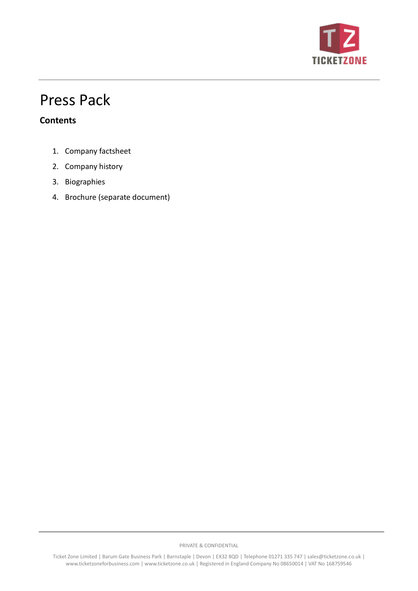

# Press Pack

## **Contents**

- 1. Company factsheet
- 2. Company history
- 3. Biographies
- 4. Brochure (separate document)

PRIVATE & CONFIDENTIAL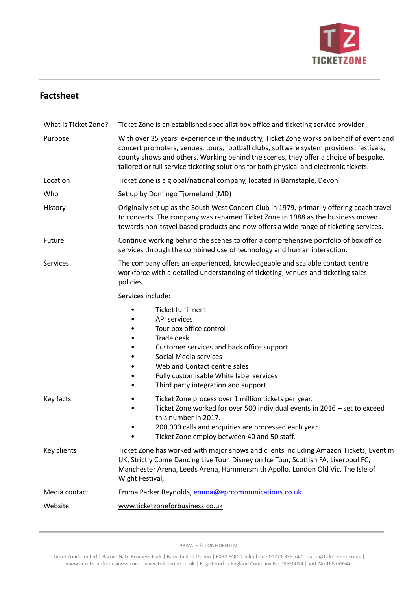

## **Factsheet**

| What is Ticket Zone? | Ticket Zone is an established specialist box office and ticketing service provider.                                                                                                                                                                                                                                                                                  |  |
|----------------------|----------------------------------------------------------------------------------------------------------------------------------------------------------------------------------------------------------------------------------------------------------------------------------------------------------------------------------------------------------------------|--|
| Purpose              | With over 35 years' experience in the industry, Ticket Zone works on behalf of event and<br>concert promoters, venues, tours, football clubs, software system providers, festivals,<br>county shows and others. Working behind the scenes, they offer a choice of bespoke,<br>tailored or full service ticketing solutions for both physical and electronic tickets. |  |
| Location             | Ticket Zone is a global/national company, located in Barnstaple, Devon                                                                                                                                                                                                                                                                                               |  |
| Who                  | Set up by Domingo Tjornelund (MD)                                                                                                                                                                                                                                                                                                                                    |  |
| History              | Originally set up as the South West Concert Club in 1979, primarily offering coach travel<br>to concerts. The company was renamed Ticket Zone in 1988 as the business moved<br>towards non-travel based products and now offers a wide range of ticketing services.                                                                                                  |  |
| Future               | Continue working behind the scenes to offer a comprehensive portfolio of box office<br>services through the combined use of technology and human interaction.                                                                                                                                                                                                        |  |
| Services             | The company offers an experienced, knowledgeable and scalable contact centre<br>workforce with a detailed understanding of ticketing, venues and ticketing sales<br>policies.                                                                                                                                                                                        |  |
|                      | Services include:                                                                                                                                                                                                                                                                                                                                                    |  |
|                      | Ticket fulfilment<br><b>API services</b><br>Tour box office control<br>Trade desk<br>Customer services and back office support<br>Social Media services<br>Web and Contact centre sales<br>Fully customisable White label services<br>Third party integration and support                                                                                            |  |
| Key facts            | Ticket Zone process over 1 million tickets per year.<br>Ticket Zone worked for over 500 individual events in 2016 - set to exceed<br>this number in 2017.<br>200,000 calls and enquiries are processed each year.<br>Ticket Zone employ between 40 and 50 staff.                                                                                                     |  |
| Key clients          | Ticket Zone has worked with major shows and clients including Amazon Tickets, Eventim<br>UK, Strictly Come Dancing Live Tour, Disney on Ice Tour, Scottish FA, Liverpool FC,<br>Manchester Arena, Leeds Arena, Hammersmith Apollo, London Old Vic, The Isle of<br>Wight Festival,                                                                                    |  |
| Media contact        | Emma Parker Reynolds, emma@eprcommunications.co.uk                                                                                                                                                                                                                                                                                                                   |  |
| Website              | www.ticketzoneforbusiness.co.uk                                                                                                                                                                                                                                                                                                                                      |  |

PRIVATE & CONFIDENTIAL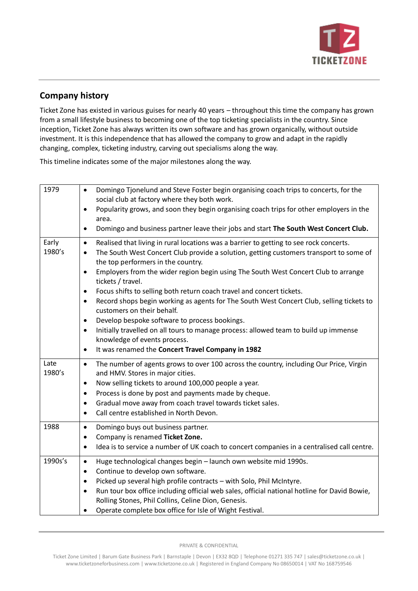

## **Company history**

Ticket Zone has existed in various guises for nearly 40 years – throughout this time the company has grown from a small lifestyle business to becoming one of the top ticketing specialists in the country. Since inception, Ticket Zone has always written its own software and has grown organically, without outside investment. It is this independence that has allowed the company to grow and adapt in the rapidly changing, complex, ticketing industry, carving out specialisms along the way.

This timeline indicates some of the major milestones along the way.

| 1979            | Domingo Tjonelund and Steve Foster begin organising coach trips to concerts, for the<br>$\bullet$<br>social club at factory where they both work.<br>Popularity grows, and soon they begin organising coach trips for other employers in the<br>$\bullet$<br>area.                                                                                                                                                                                       |
|-----------------|----------------------------------------------------------------------------------------------------------------------------------------------------------------------------------------------------------------------------------------------------------------------------------------------------------------------------------------------------------------------------------------------------------------------------------------------------------|
|                 | Domingo and business partner leave their jobs and start The South West Concert Club.<br>$\bullet$                                                                                                                                                                                                                                                                                                                                                        |
| Early<br>1980's | Realised that living in rural locations was a barrier to getting to see rock concerts.<br>$\bullet$<br>The South West Concert Club provide a solution, getting customers transport to some of<br>$\bullet$<br>the top performers in the country.<br>Employers from the wider region begin using The South West Concert Club to arrange<br>$\bullet$                                                                                                      |
|                 | tickets / travel.<br>Focus shifts to selling both return coach travel and concert tickets.<br>$\bullet$<br>Record shops begin working as agents for The South West Concert Club, selling tickets to<br>$\bullet$<br>customers on their behalf.                                                                                                                                                                                                           |
|                 | Develop bespoke software to process bookings.<br>$\bullet$<br>Initially travelled on all tours to manage process: allowed team to build up immense<br>$\bullet$<br>knowledge of events process.<br>It was renamed the Concert Travel Company in 1982<br>$\bullet$                                                                                                                                                                                        |
| Late<br>1980's  | The number of agents grows to over 100 across the country, including Our Price, Virgin<br>$\bullet$<br>and HMV. Stores in major cities.<br>Now selling tickets to around 100,000 people a year.<br>$\bullet$<br>Process is done by post and payments made by cheque.<br>$\bullet$<br>Gradual move away from coach travel towards ticket sales.<br>$\bullet$<br>Call centre established in North Devon.<br>$\bullet$                                      |
| 1988            | Domingo buys out business partner.<br>$\bullet$<br>Company is renamed Ticket Zone.<br>٠<br>Idea is to service a number of UK coach to concert companies in a centralised call centre.<br>$\bullet$                                                                                                                                                                                                                                                       |
| 1990s's         | Huge technological changes begin - launch own website mid 1990s.<br>$\bullet$<br>Continue to develop own software.<br>$\bullet$<br>Picked up several high profile contracts - with Solo, Phil McIntyre.<br>$\bullet$<br>Run tour box office including official web sales, official national hotline for David Bowie,<br>$\bullet$<br>Rolling Stones, Phil Collins, Celine Dion, Genesis.<br>Operate complete box office for Isle of Wight Festival.<br>٠ |

PRIVATE & CONFIDENTIAL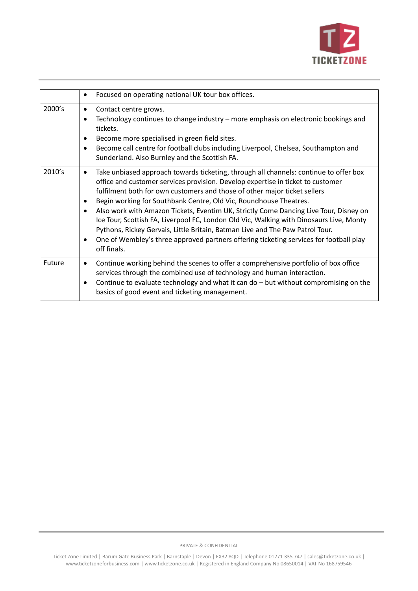

|        | Focused on operating national UK tour box offices.<br>٠                                                                                                                                                                                                                                                                                                                                                                                                                                                                                                                                                                                                                                                                                         |
|--------|-------------------------------------------------------------------------------------------------------------------------------------------------------------------------------------------------------------------------------------------------------------------------------------------------------------------------------------------------------------------------------------------------------------------------------------------------------------------------------------------------------------------------------------------------------------------------------------------------------------------------------------------------------------------------------------------------------------------------------------------------|
| 2000's | Contact centre grows.<br>$\bullet$<br>Technology continues to change industry – more emphasis on electronic bookings and<br>$\bullet$<br>tickets.<br>Become more specialised in green field sites.<br>Become call centre for football clubs including Liverpool, Chelsea, Southampton and<br>$\bullet$<br>Sunderland. Also Burnley and the Scottish FA.                                                                                                                                                                                                                                                                                                                                                                                         |
| 2010's | Take unbiased approach towards ticketing, through all channels: continue to offer box<br>office and customer services provision. Develop expertise in ticket to customer<br>fulfilment both for own customers and those of other major ticket sellers<br>Begin working for Southbank Centre, Old Vic, Roundhouse Theatres.<br>$\bullet$<br>Also work with Amazon Tickets, Eventim UK, Strictly Come Dancing Live Tour, Disney on<br>$\bullet$<br>Ice Tour, Scottish FA, Liverpool FC, London Old Vic, Walking with Dinosaurs Live, Monty<br>Pythons, Rickey Gervais, Little Britain, Batman Live and The Paw Patrol Tour.<br>One of Wembley's three approved partners offering ticketing services for football play<br>$\bullet$<br>off finals. |
| Future | Continue working behind the scenes to offer a comprehensive portfolio of box office<br>$\bullet$<br>services through the combined use of technology and human interaction.<br>Continue to evaluate technology and what it can do - but without compromising on the<br>٠<br>basics of good event and ticketing management.                                                                                                                                                                                                                                                                                                                                                                                                                       |